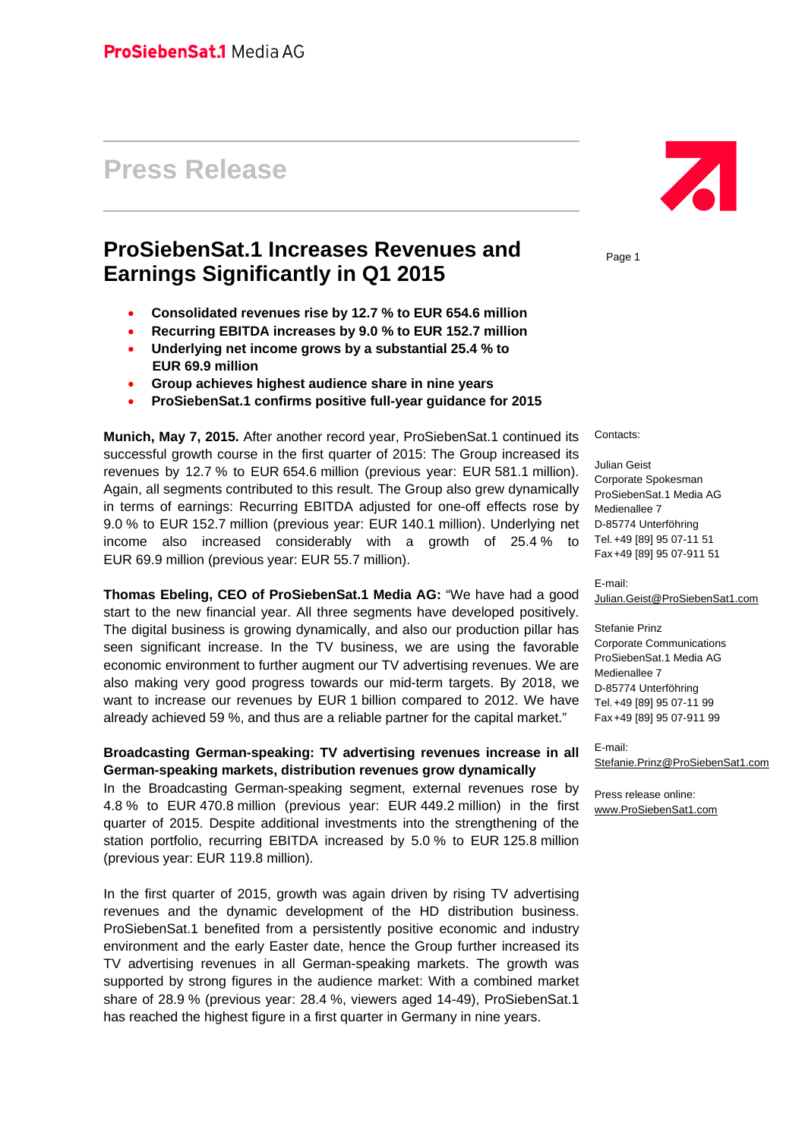# **Press Release**

# **ProSiebenSat.1 Increases Revenues and Earnings Significantly in Q1 2015**

- **Consolidated revenues rise by 12.7 % to EUR 654.6 million**
- **Recurring EBITDA increases by 9.0 % to EUR 152.7 million**
- **Underlying net income grows by a substantial 25.4 % to EUR 69.9 million**
- **Group achieves highest audience share in nine years**
- **ProSiebenSat.1 confirms positive full-year guidance for 2015**

**Munich, May 7, 2015.** After another record year, ProSiebenSat.1 continued its successful growth course in the first quarter of 2015: The Group increased its revenues by 12.7 % to EUR 654.6 million (previous year: EUR 581.1 million). Again, all segments contributed to this result. The Group also grew dynamically in terms of earnings: Recurring EBITDA adjusted for one-off effects rose by 9.0 % to EUR 152.7 million (previous year: EUR 140.1 million). Underlying net income also increased considerably with a growth of 25.4 % to EUR 69.9 million (previous year: EUR 55.7 million).

**Thomas Ebeling, CEO of ProSiebenSat.1 Media AG:** "We have had a good start to the new financial year. All three segments have developed positively. The digital business is growing dynamically, and also our production pillar has seen significant increase. In the TV business, we are using the favorable economic environment to further augment our TV advertising revenues. We are also making very good progress towards our mid-term targets. By 2018, we want to increase our revenues by EUR 1 billion compared to 2012. We have already achieved 59 %, and thus are a reliable partner for the capital market."

#### **Broadcasting German-speaking: TV advertising revenues increase in all German-speaking markets, distribution revenues grow dynamically**

In the Broadcasting German-speaking segment, external revenues rose by 4.8 % to EUR 470.8 million (previous year: EUR 449.2 million) in the first quarter of 2015. Despite additional investments into the strengthening of the station portfolio, recurring EBITDA increased by 5.0 % to EUR 125.8 million (previous year: EUR 119.8 million).

In the first quarter of 2015, growth was again driven by rising TV advertising revenues and the dynamic development of the HD distribution business. ProSiebenSat.1 benefited from a persistently positive economic and industry environment and the early Easter date, hence the Group further increased its TV advertising revenues in all German-speaking markets. The growth was supported by strong figures in the audience market: With a combined market share of 28.9 % (previous year: 28.4 %, viewers aged 14-49), ProSiebenSat.1 has reached the highest figure in a first quarter in Germany in nine years.



Page 1

Contacts:

Julian Geist Corporate Spokesman ProSiebenSat.1 Media AG Medienallee 7 D-85774 Unterföhring Tel. +49 [89] 95 07-11 51 Fax +49 [89] 95 07-911 51

E-mail: Julian.Geist@ProSiebenSat1.com

Stefanie Prinz Corporate Communications ProSiebenSat.1 Media AG Medienallee 7 D-85774 Unterföhring Tel. +49 [89] 95 07-11 99 Fax +49 [89] 95 07-911 99

E-mail: Stefanie.Prinz@ProSiebenSat1.com

Press release online: www.ProSiebenSat1.com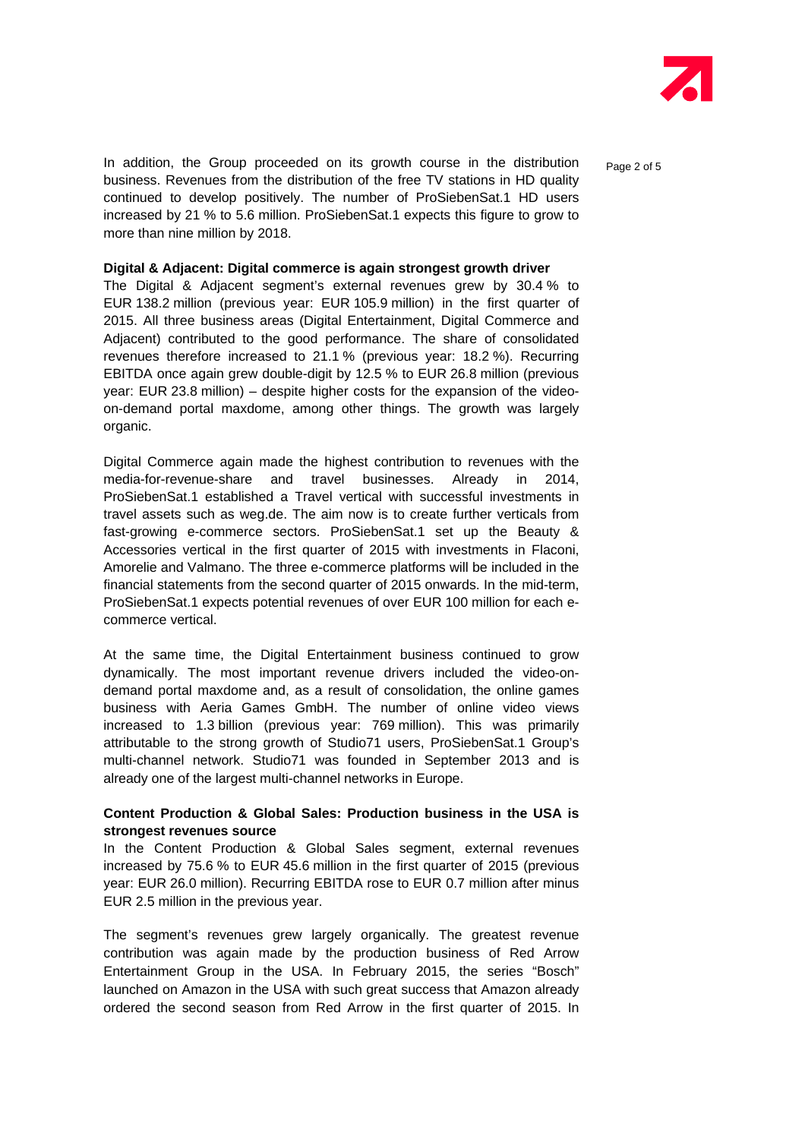

In addition, the Group proceeded on its growth course in the distribution  $_{\text{Paqe 2 of 5}}$ business. Revenues from the distribution of the free TV stations in HD quality continued to develop positively. The number of ProSiebenSat.1 HD users increased by 21 % to 5.6 million. ProSiebenSat.1 expects this figure to grow to more than nine million by 2018.

#### **Digital & Adjacent: Digital commerce is again strongest growth driver**

The Digital & Adjacent segment's external revenues grew by 30.4 % to EUR 138.2 million (previous year: EUR 105.9 million) in the first quarter of 2015. All three business areas (Digital Entertainment, Digital Commerce and Adjacent) contributed to the good performance. The share of consolidated revenues therefore increased to 21.1 % (previous year: 18.2 %). Recurring EBITDA once again grew double-digit by 12.5 % to EUR 26.8 million (previous year: EUR 23.8 million) – despite higher costs for the expansion of the videoon-demand portal maxdome, among other things. The growth was largely organic.

Digital Commerce again made the highest contribution to revenues with the media-for-revenue-share and travel businesses. Already in 2014, ProSiebenSat.1 established a Travel vertical with successful investments in travel assets such as weg.de. The aim now is to create further verticals from fast-growing e-commerce sectors. ProSiebenSat.1 set up the Beauty & Accessories vertical in the first quarter of 2015 with investments in Flaconi, Amorelie and Valmano. The three e-commerce platforms will be included in the financial statements from the second quarter of 2015 onwards. In the mid-term, ProSiebenSat.1 expects potential revenues of over EUR 100 million for each ecommerce vertical.

At the same time, the Digital Entertainment business continued to grow dynamically. The most important revenue drivers included the video-ondemand portal maxdome and, as a result of consolidation, the online games business with Aeria Games GmbH. The number of online video views increased to 1.3 billion (previous year: 769 million). This was primarily attributable to the strong growth of Studio71 users, ProSiebenSat.1 Group's multi-channel network. Studio71 was founded in September 2013 and is already one of the largest multi-channel networks in Europe.

#### **Content Production & Global Sales: Production business in the USA is strongest revenues source**

In the Content Production & Global Sales segment, external revenues increased by 75.6 % to EUR 45.6 million in the first quarter of 2015 (previous year: EUR 26.0 million). Recurring EBITDA rose to EUR 0.7 million after minus EUR 2.5 million in the previous year.

The segment's revenues grew largely organically. The greatest revenue contribution was again made by the production business of Red Arrow Entertainment Group in the USA. In February 2015, the series "Bosch" launched on Amazon in the USA with such great success that Amazon already ordered the second season from Red Arrow in the first quarter of 2015. In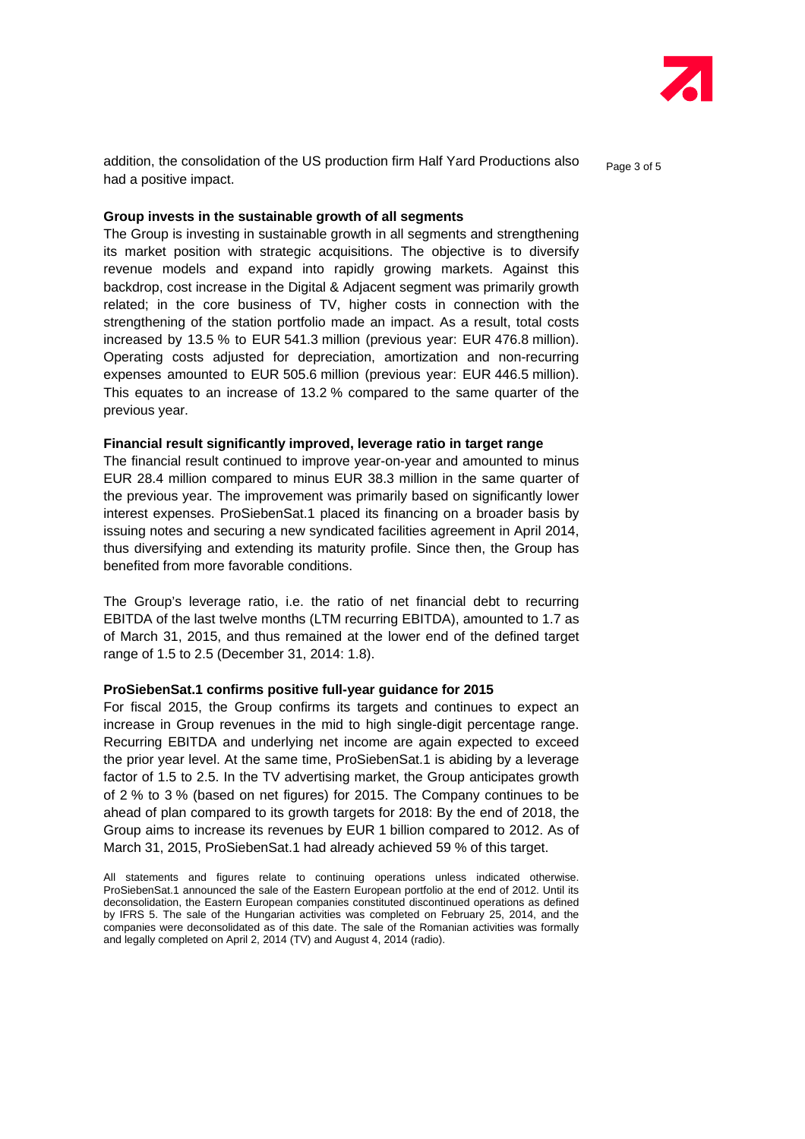

addition, the consolidation of the US production firm Half Yard Productions also  $P_{\text{a}ae 3 of 5}$ had a positive impact.

#### **Group invests in the sustainable growth of all segments**

The Group is investing in sustainable growth in all segments and strengthening its market position with strategic acquisitions. The objective is to diversify revenue models and expand into rapidly growing markets. Against this backdrop, cost increase in the Digital & Adjacent segment was primarily growth related; in the core business of TV, higher costs in connection with the strengthening of the station portfolio made an impact. As a result, total costs increased by 13.5 % to EUR 541.3 million (previous year: EUR 476.8 million). Operating costs adjusted for depreciation, amortization and non-recurring expenses amounted to EUR 505.6 million (previous year: EUR 446.5 million). This equates to an increase of 13.2 % compared to the same quarter of the previous year.

#### **Financial result significantly improved, leverage ratio in target range**

The financial result continued to improve year-on-year and amounted to minus EUR 28.4 million compared to minus EUR 38.3 million in the same quarter of the previous year. The improvement was primarily based on significantly lower interest expenses. ProSiebenSat.1 placed its financing on a broader basis by issuing notes and securing a new syndicated facilities agreement in April 2014, thus diversifying and extending its maturity profile. Since then, the Group has benefited from more favorable conditions.

The Group's leverage ratio, i.e. the ratio of net financial debt to recurring EBITDA of the last twelve months (LTM recurring EBITDA), amounted to 1.7 as of March 31, 2015, and thus remained at the lower end of the defined target range of 1.5 to 2.5 (December 31, 2014: 1.8).

#### **ProSiebenSat.1 confirms positive full-year guidance for 2015**

For fiscal 2015, the Group confirms its targets and continues to expect an increase in Group revenues in the mid to high single-digit percentage range. Recurring EBITDA and underlying net income are again expected to exceed the prior year level. At the same time, ProSiebenSat.1 is abiding by a leverage factor of 1.5 to 2.5. In the TV advertising market, the Group anticipates growth of 2 % to 3 % (based on net figures) for 2015. The Company continues to be ahead of plan compared to its growth targets for 2018: By the end of 2018, the Group aims to increase its revenues by EUR 1 billion compared to 2012. As of March 31, 2015, ProSiebenSat.1 had already achieved 59 % of this target.

All statements and figures relate to continuing operations unless indicated otherwise. ProSiebenSat.1 announced the sale of the Eastern European portfolio at the end of 2012. Until its deconsolidation, the Eastern European companies constituted discontinued operations as defined by IFRS 5. The sale of the Hungarian activities was completed on February 25, 2014, and the companies were deconsolidated as of this date. The sale of the Romanian activities was formally and legally completed on April 2, 2014 (TV) and August 4, 2014 (radio).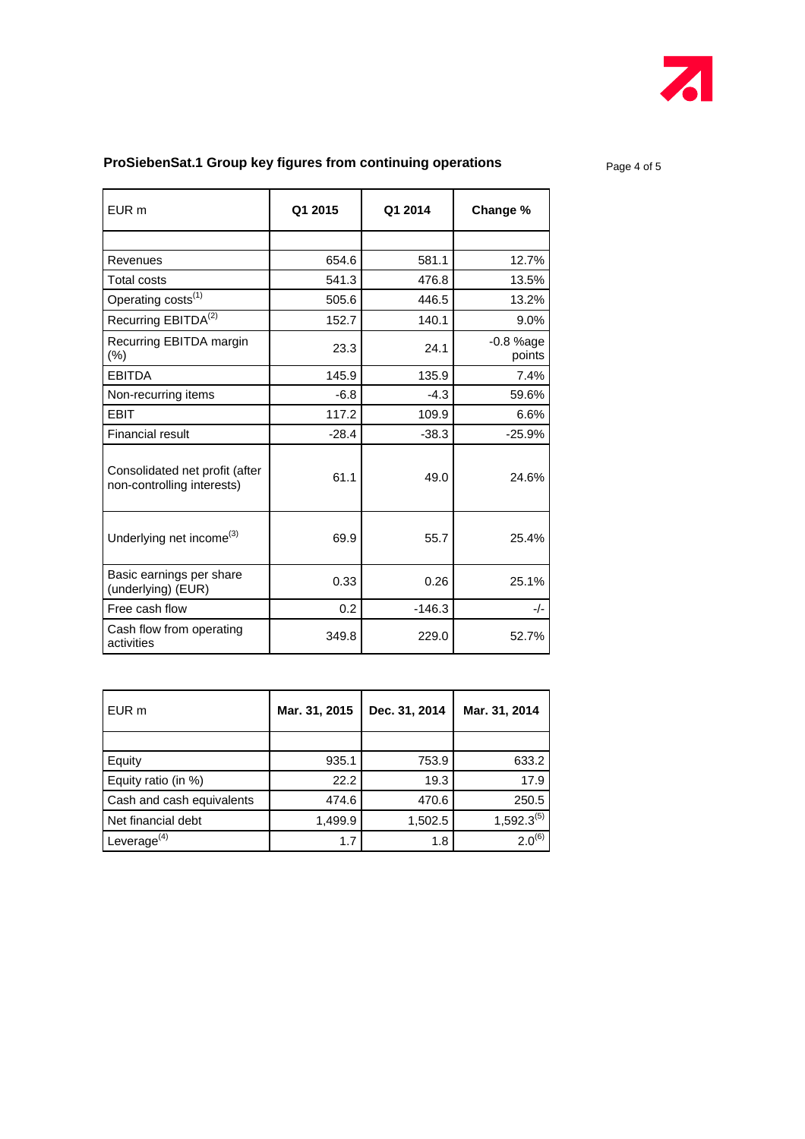

## **ProSiebenSat.1 Group key figures from continuing operations Page 4 of 5**

EUR m **Q1 2015 Q1 2014 Change %** Revenues 12.7% Total costs **13.5%** 13.5% Operating costs<sup>(1)</sup> 13.2% Recurring EBITDA<sup>(2)</sup> 152.7 140.1 9.0% Recurring EBITDA margin <br>(%) 23.3 24.1 coints points EBITDA 145.9 135.9 7.4% Non-recurring items  $\begin{vmatrix} 1 & 6.8 & -4.3 \end{vmatrix}$  59.6% EBIT 117.2 109.9 6.6% Financial result  $-28.4$   $-38.3$   $-25.9\%$ Consolidated net profit (after Lonsolidated het profit (after discussed to the form of the discussed of the discussed of the discussed of the  $\frac{61.1}{24.6\%}$ Underlying net income<sup>(3)</sup>  $\begin{array}{|c|c|c|c|c|c|c|c|c|} \hline \text{09.9} & & 55.7 & 25.4\% \hline \end{array}$ Basic earnings per share Basic earnings per snare<br>
(underlying) (EUR) 0.33 0.26 25.1% Free cash flow  $0.2$  -146.3  $-/-$ Cash flow from operating activities 349.8 229.0 52.7%

| EUR m                     | Mar. 31, 2015 | Dec. 31, 2014 | Mar. 31, 2014   |
|---------------------------|---------------|---------------|-----------------|
|                           |               |               |                 |
| Equity                    | 935.1         | 753.9         | 633.2           |
| Equity ratio (in %)       | 22.2          | 19.3          | 17.9            |
| Cash and cash equivalents | 474.6         | 470.6         | 250.5           |
| Net financial debt        | 1,499.9       | 1,502.5       | $1,592.3^{(5)}$ |
| Leverage $^{(4)}$         | 1.7           | 1.8           | $2.0^{(6)}$     |